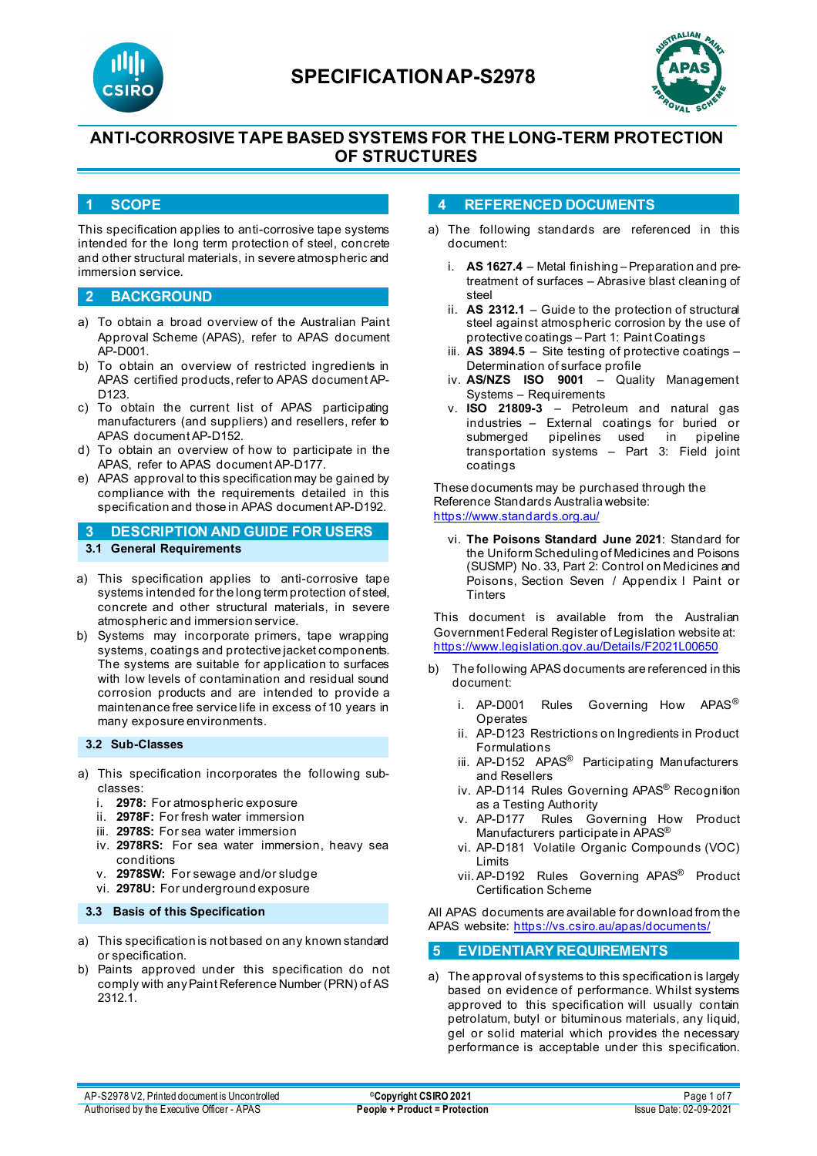



## **ANTI-CORROSIVE TAPE BASED SYSTEMS FOR THE LONG-TERM PROTECTION OF STRUCTURES**

#### **1 SCOPE**

This specification applies to anti-corrosive tape systems intended for the long term protection of steel, concrete and other structural materials, in severe atmospheric and immersion service.

#### **2 BACKGROUND**

- a) To obtain a broad overview of the Australian Paint Approval Scheme (APAS), refer to APAS document AP-D001.
- b) To obtain an overview of restricted ingredients in APAS certified products, refer to APAS document AP-D123.
- c) To obtain the current list of APAS participating manufacturers (and suppliers) and resellers, refer to APAS document AP-D152.
- d) To obtain an overview of how to participate in the APAS, refer to APAS document AP-D177.
- e) APAS approval to this specification may be gained by compliance with the requirements detailed in this specification and those in APAS document AP-D192.

**3 DESCRIPTION AND GUIDE FOR USERS 3.1 General Requirements**

- a) This specification applies to anti-corrosive tape systems intended for the long term protection of steel, concrete and other structural materials, in severe atmospheric and immersion service.
- b) Systems may incorporate primers, tape wrapping systems, coatings and protective jacket components. The systems are suitable for application to surfaces with low levels of contamination and residual sound corrosion products and are intended to provide a maintenance free service life in excess of 10 years in many exposure environments.

#### **3.2 Sub-Classes**

- a) This specification incorporates the following subclasses:
	- i. **2978:** For atmospheric exposure
	- ii. **2978F:** For fresh water immersion
	- iii. **2978S:** For sea water immersion
	- iv. **2978RS:** For sea water immersion, heavy sea conditions
	- v. **2978SW:** For sewage and/or sludge
	- vi. **2978U:** For underground exposure

#### **3.3 Basis of this Specification**

- a) This specification is not based on any known standard or specification.
- b) Paints approved under this specification do not comply with anyPaint Reference Number (PRN) of AS 2312.1.

#### **4 REFERENCED DOCUMENTS**

- a) The following standards are referenced in this document:
	- i. **AS 1627.4** Metal finishing Preparation and pretreatment of surfaces – Abrasive blast cleaning of steel
	- ii. **AS 2312.1** Guide to the protection of structural steel against atmospheric corrosion by the use of protective coatings – Part 1: Paint Coatings
	- iii. **AS 3894.5**  Site testing of protective coatings Determination of surface profile
	- iv. **AS/NZS ISO 9001**  Quality Management Systems – Requirements
	- v. **ISO 21809-3** Petroleum and natural gas industries – External coatings for buried or submerged pipelines used in pipeline transportation systems – Part 3: Field joint coatings

These documents may be purchased through the Reference Standards Australia website: <https://www.standards.org.au/>

vi. **The Poisons Standard June 2021**: Standard for the Uniform Scheduling of Medicines and Poisons (SUSMP) No. 33, Part 2: Control on Medicines and Poisons, Section Seven / Appendix I Paint or **Tinters** 

This document is available from the Australian Government Federal Register of Legislation website at: <https://www.legislation.gov.au/Details/F2021L00650>

- b) The following APAS documents are referenced in this document:
	- i. AP-D001 Rules Governing How APAS<sup>®</sup> **Operates**
	- ii. AP-D123 Restrictions on Ingredients in Product Formulations
	- iii. AP-D152 APAS<sup>®</sup> Participating Manufacturers and Resellers
	- iv. AP-D114 Rules Governing APAS<sup>®</sup> Recognition as a Testing Authority
	- v. AP-D177 Rules Governing How Product Manufacturers participate in APAS®
	- vi. AP-D181 Volatile Organic Compounds (VOC) Limits
	- vii. AP-D192 Rules Governing APAS® Product Certification Scheme

All APAS documents are available for download from the APAS website: <https://vs.csiro.au/apas/documents/>

#### **5 EVIDENTIARY REQUIREMENTS**

a) The approval of systems to this specification is largely based on evidence of performance. Whilst systems approved to this specification will usually contain petrolatum, butyl or bituminous materials, any liquid, gel or solid material which provides the necessary performance is acceptable under this specification.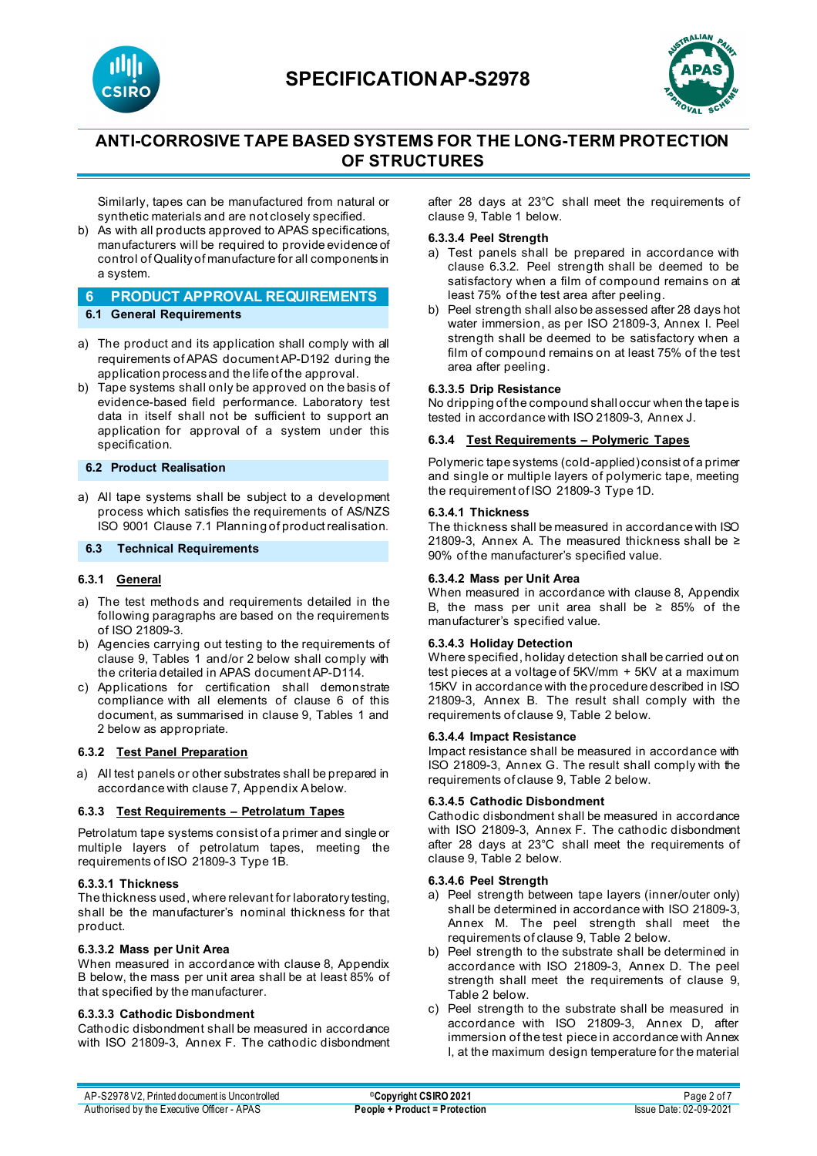



# **ANTI-CORROSIVE TAPE BASED SYSTEMS FOR THE LONG-TERM PROTECTION OF STRUCTURES**

Similarly, tapes can be manufactured from natural or synthetic materials and are not closely specified.

b) As with all products approved to APAS specifications, manufacturers will be required to provide evidence of control of Quality of manufacture for all components in a system.

# **6 PRODUCT APPROVAL REQUIREMENTS**

- **6.1 General Requirements**
- a) The product and its application shall comply with all requirements of APAS document AP-D192 during the application process and the life of the approval.
- b) Tape systems shall only be approved on the basis of evidence-based field performance. Laboratory test data in itself shall not be sufficient to support an application for approval of a system under this specification.

#### **6.2 Product Realisation**

a) All tape systems shall be subject to a development process which satisfies the requirements of AS/NZS ISO 9001 Clause 7.1 Planning of product realisation.

#### **6.3 Technical Requirements**

#### **6.3.1 General**

- a) The test methods and requirements detailed in the following paragraphs are based on the requirements of ISO 21809-3.
- b) Agencies carrying out testing to the requirements of clause 9, Tables 1 and/or 2 below shall comply with the criteria detailed in APAS document AP-D114.
- c) Applications for certification shall demonstrate compliance with all elements of clause 6 of this document, as summarised in clause 9, Tables 1 and 2 below as appropriate.

#### **6.3.2 Test Panel Preparation**

a) All test panels or other substrates shall be prepared in accordance with clause 7, Appendix A below.

#### **6.3.3 Test Requirements – Petrolatum Tapes**

Petrolatum tape systems consist of a primer and single or multiple layers of petrolatum tapes, meeting the requirements of ISO 21809-3 Type 1B.

#### **6.3.3.1 Thickness**

The thickness used, where relevant for laboratory testing, shall be the manufacturer's nominal thickness for that product.

#### **6.3.3.2 Mass per Unit Area**

When measured in accordance with clause 8, Appendix B below, the mass per unit area shall be at least 85% of that specified by the manufacturer.

#### **6.3.3.3 Cathodic Disbondment**

Cathodic disbondment shall be measured in accordance with ISO 21809-3, Annex F. The cathodic disbondment after 28 days at 23°C shall meet the requirements of clause 9, Table 1 below.

#### **6.3.3.4 Peel Strength**

- a) Test panels shall be prepared in accordance with clause 6.3.2. Peel strength shall be deemed to be satisfactory when a film of compound remains on at least 75% of the test area after peeling.
- b) Peel strength shall also be assessed after 28 days hot water immersion, as per ISO 21809-3, Annex I. Peel strength shall be deemed to be satisfactory when a film of compound remains on at least 75% of the test area after peeling.

#### **6.3.3.5 Drip Resistance**

No dripping of the compound shall occur when the tape is tested in accordance with ISO 21809-3, Annex J.

#### **6.3.4 Test Requirements – Polymeric Tapes**

Polymeric tape systems (cold-applied) consist of a primer and single or multiple layers of polymeric tape, meeting the requirement of ISO 21809-3 Type 1D.

#### **6.3.4.1 Thickness**

The thickness shall be measured in accordance with ISO 21809-3, Annex A. The measured thickness shall be ≥ 90% of the manufacturer's specified value.

#### **6.3.4.2 Mass per Unit Area**

When measured in accordance with clause 8, Appendix B, the mass per unit area shall be ≥ 85% of the manufacturer's specified value.

#### **6.3.4.3 Holiday Detection**

Where specified, holiday detection shall be carried out on test pieces at a voltage of 5KV/mm + 5KV at a maximum 15KV in accordance with the procedure described in ISO 21809-3, Annex B. The result shall comply with the requirements of clause 9, Table 2 below.

#### **6.3.4.4 Impact Resistance**

Impact resistance shall be measured in accordance with ISO 21809-3, Annex G. The result shall comply with the requirements of clause 9, Table 2 below.

#### **6.3.4.5 Cathodic Disbondment**

Cathodic disbondment shall be measured in accordance with ISO 21809-3, Annex F. The cathodic disbondment after 28 days at 23°C shall meet the requirements of clause 9, Table 2 below.

#### **6.3.4.6 Peel Strength**

- a) Peel strength between tape layers (inner/outer only) shall be determined in accordance with ISO 21809-3, Annex M. The peel strength shall meet the requirements of clause 9, Table 2 below.
- b) Peel strength to the substrate shall be determined in accordance with ISO 21809-3, Annex D. The peel strength shall meet the requirements of clause 9, Table 2 below.
- c) Peel strength to the substrate shall be measured in accordance with ISO 21809-3, Annex D, after immersion of the test piece in accordance with Annex I, at the maximum design temperature for the material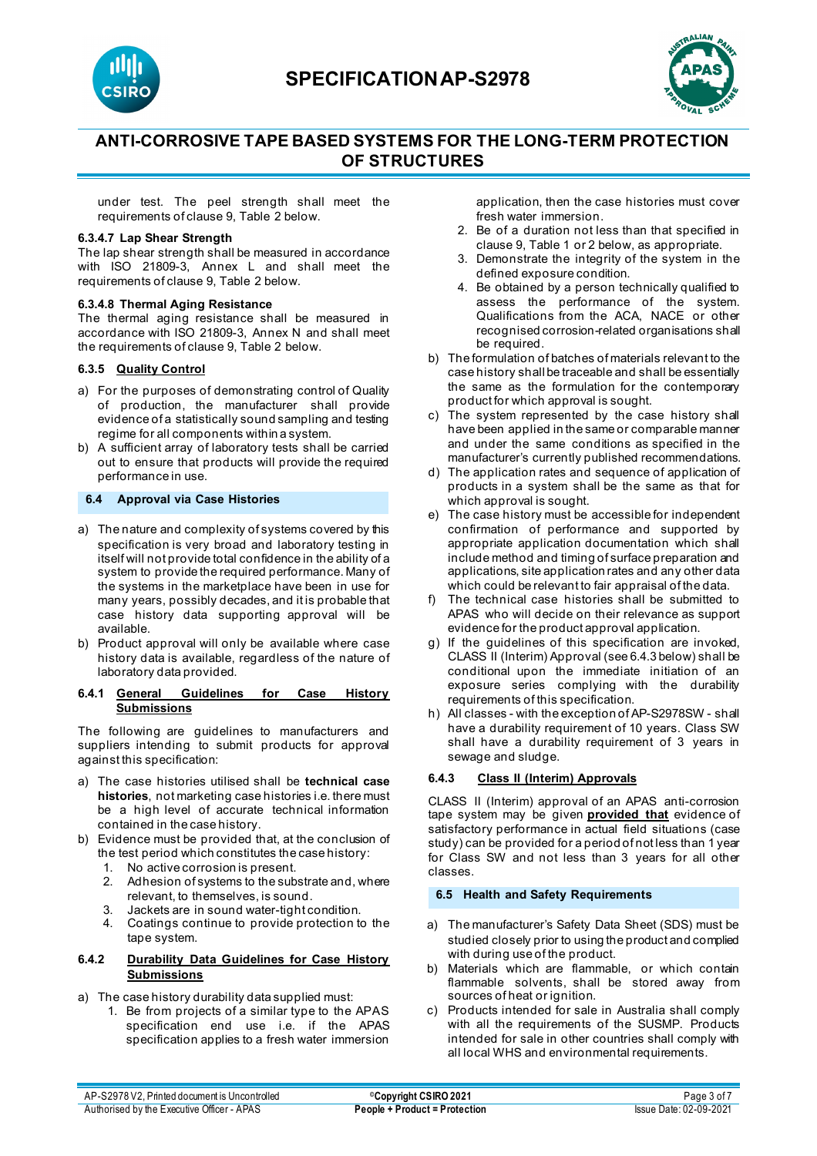



# **ANTI-CORROSIVE TAPE BASED SYSTEMS FOR THE LONG-TERM PROTECTION OF STRUCTURES**

under test. The peel strength shall meet the requirements of clause 9, Table 2 below.

#### **6.3.4.7 Lap Shear Strength**

The lap shear strength shall be measured in accordance with ISO 21809-3, Annex L and shall meet the requirements of clause 9, Table 2 below.

#### **6.3.4.8 Thermal Aging Resistance**

The thermal aging resistance shall be measured in accordance with ISO 21809-3, Annex N and shall meet the requirements of clause 9, Table 2 below.

#### **6.3.5 Quality Control**

- a) For the purposes of demonstrating control of Quality of production, the manufacturer shall provide evidence of a statistically sound sampling and testing regime for all components within a system.
- b) A sufficient array of laboratory tests shall be carried out to ensure that products will provide the required performance in use.

#### **6.4 Approval via Case Histories**

- a) The nature and complexity of systems covered by this specification is very broad and laboratory testing in itself will not provide total confidence in the ability of a system to provide the required performance. Many of the systems in the marketplace have been in use for many years, possibly decades, and it is probable that case history data supporting approval will be available.
- b) Product approval will only be available where case history data is available, regardless of the nature of laboratory data provided.

#### **6.4.1 General Guidelines for Case History Submissions**

The following are guidelines to manufacturers and suppliers intending to submit products for approval against this specification:

- a) The case histories utilised shall be **technical case histories**, not marketing case histories i.e. there must be a high level of accurate technical information contained in the case history.
- b) Evidence must be provided that, at the conclusion of the test period which constitutes the case history:
	- 1. No active corrosion is present.
	- 2. Adhesion of systems to the substrate and, where relevant, to themselves, is sound.
	-
	- 3. Jackets are in sound water-tight condition.<br>4. Coatings continue to provide protection to Coatings continue to provide protection to the tape system.

#### **6.4.2 Durability Data Guidelines for Case History Submissions**

a) The case history durability data supplied must:

1. Be from projects of a similar type to the APAS specification end use i.e. if the APAS specification applies to a fresh water immersion

application, then the case histories must cover fresh water immersion.

- 2. Be of a duration not less than that specified in clause 9, Table 1 or 2 below, as appropriate.
- 3. Demonstrate the integrity of the system in the defined exposure condition.
- 4. Be obtained by a person technically qualified to assess the performance of the system. Qualifications from the ACA, NACE or other recognised corrosion-related organisations shall be required.
- b) The formulation of batches of materials relevant to the case history shall be traceable and shall be essentially the same as the formulation for the contemporary product for which approval is sought.
- c) The system represented by the case history shall have been applied in the same or comparable manner and under the same conditions as specified in the manufacturer's currently published recommendations.
- d) The application rates and sequence of application of products in a system shall be the same as that for which approval is sought.
- e) The case history must be accessible for independent confirmation of performance and supported by appropriate application documentation which shall include method and timing of surface preparation and applications, site application rates and any other data which could be relevant to fair appraisal of the data.
- f) The technical case histories shall be submitted to APAS who will decide on their relevance as support evidence for the product approval application.
- g) If the guidelines of this specification are invoked, CLASS II (Interim) Approval (see 6.4.3 below) shall be conditional upon the immediate initiation of an exposure series complying with the durability requirements of this specification.
- h) All classes with the exception of AP-S2978SW shall have a durability requirement of 10 years. Class SW shall have a durability requirement of 3 years in sewage and sludge.

### **6.4.3 Class II (Interim) Approvals**

CLASS II (Interim) approval of an APAS anti-corrosion tape system may be given **provided that** evidence of satisfactory performance in actual field situations (case study) can be provided for a period of not less than 1 year for Class SW and not less than 3 years for all other classes.

#### **6.5 Health and Safety Requirements**

- a) The manufacturer's Safety Data Sheet (SDS) must be studied closely prior to using the product and complied with during use of the product.
- b) Materials which are flammable, or which contain flammable solvents, shall be stored away from sources of heat or ignition.
- c) Products intended for sale in Australia shall comply with all the requirements of the SUSMP. Products intended for sale in other countries shall comply with all local WHS and environmental requirements.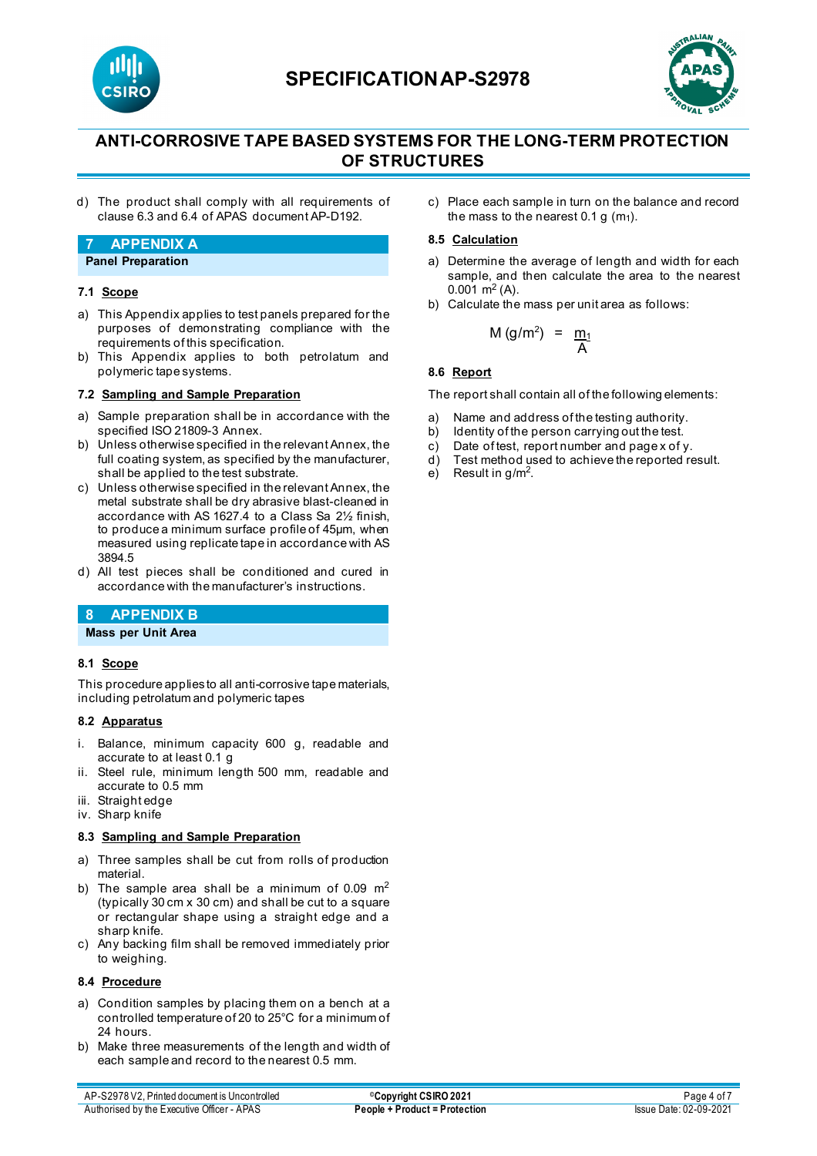



# **ANTI-CORROSIVE TAPE BASED SYSTEMS FOR THE LONG-TERM PROTECTION OF STRUCTURES**

d) The product shall comply with all requirements of clause 6.3 and 6.4 of APAS document AP-D192.

### **7 APPENDIX A**

#### **Panel Preparation**

#### **7.1 Scope**

- a) This Appendix applies to test panels prepared for the purposes of demonstrating compliance with the requirements of this specification.
- b) This Appendix applies to both petrolatum and polymeric tape systems.

#### **7.2 Sampling and Sample Preparation**

- a) Sample preparation shall be in accordance with the specified ISO 21809-3 Annex.
- b) Unless otherwise specified in the relevant Annex, the full coating system, as specified by the manufacturer, shall be applied to the test substrate.
- c) Unless otherwise specified in the relevant Annex, the metal substrate shall be dry abrasive blast-cleaned in accordance with AS 1627.4 to a Class Sa 2½ finish, to produce a minimum surface profile of 45μm, when measured using replicate tape in accordance with AS 3894.5
- d) All test pieces shall be conditioned and cured in accordance with the manufacturer's instructions.

## **8 APPENDIX B**

**Mass per Unit Area**

#### **8.1 Scope**

This procedure applies to all anti-corrosive tape materials, including petrolatum and polymeric tapes

#### **8.2 Apparatus**

- Balance, minimum capacity 600 g, readable and accurate to at least 0.1 g
- ii. Steel rule, minimum length 500 mm, readable and accurate to 0.5 mm
- iii. Straight edge
- iv. Sharp knife

#### **8.3 Sampling and Sample Preparation**

- a) Three samples shall be cut from rolls of production material.
- b) The sample area shall be a minimum of 0.09  $m<sup>2</sup>$ (typically 30 cm x 30 cm) and shall be cut to a square or rectangular shape using a straight edge and a sharp knife.
- c) Any backing film shall be removed immediately prior to weighing.

#### **8.4 Procedure**

- a) Condition samples by placing them on a bench at a controlled temperature of 20 to 25°C for a minimum of 24 hours.
- b) Make three measurements of the length and width of each sample and record to the nearest 0.5 mm.

c) Place each sample in turn on the balance and record the mass to the nearest  $0.1 g(m_1)$ .

#### **8.5 Calculation**

- a) Determine the average of length and width for each sample, and then calculate the area to the nearest  $0.001 \text{ m}^2$  (A).
- b) Calculate the mass per unit area as follows:

$$
M\left(g/m^2\right) = \frac{m_1}{A}
$$

#### **8.6 Report**

The report shall contain all of the following elements:

- a) Name and address of the testing authority.<br>b) Identity of the person carrying out the test.
- Identity of the person carrying out the test.
- c) Date of test, report number and page x of y.
- d) Test method used to achieve the reported result.
- e) Result in g/m<sup>2</sup>.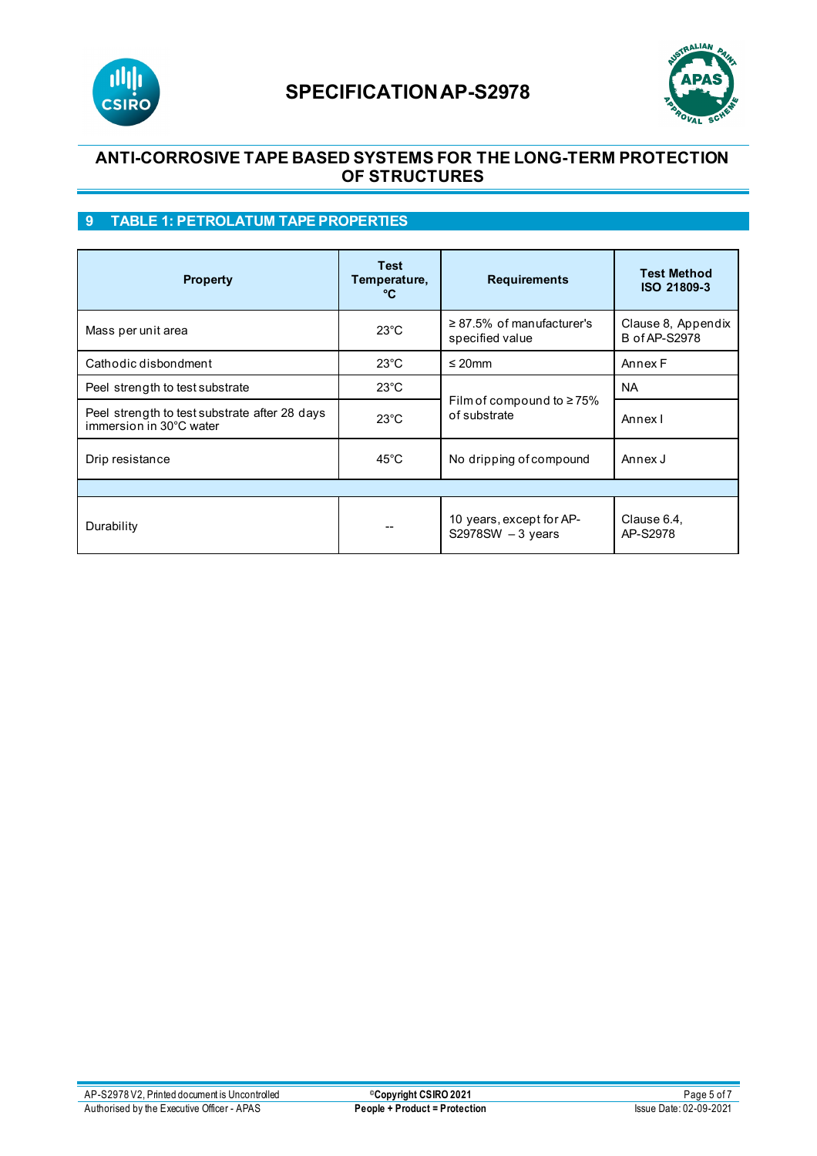



## **ANTI-CORROSIVE TAPE BASED SYSTEMS FOR THE LONG-TERM PROTECTION OF STRUCTURES**

## **9 TABLE 1: PETROLATUM TAPE PROPERTIES**

| <b>Property</b>                                                          | <b>Test</b><br>Temperature,<br>°C | <b>Requirements</b>                                     | <b>Test Method</b><br>ISO 21809-3          |  |  |
|--------------------------------------------------------------------------|-----------------------------------|---------------------------------------------------------|--------------------------------------------|--|--|
| Mass per unit area                                                       | $23^{\circ}$ C                    | $\geq$ 87.5% of manufacturer's<br>specified value       | Clause 8, Appendix<br><b>B</b> of AP-S2978 |  |  |
| Cathodic disbondment                                                     | $23^{\circ}$ C                    | $\leq$ 20mm                                             | Annex F                                    |  |  |
| Peel strength to test substrate                                          | $23^{\circ}$ C                    |                                                         | <b>NA</b>                                  |  |  |
| Peel strength to test substrate after 28 days<br>immersion in 30°C water | $23^{\circ}$ C                    | Film of compound to $\geq 75\%$<br>of substrate         | Annexl                                     |  |  |
| Drip resistance                                                          | $45^{\circ}$ C                    | No dripping of compound                                 | Annex J                                    |  |  |
|                                                                          |                                   |                                                         |                                            |  |  |
| Durability                                                               |                                   | 10 years, except for AP-<br>$S2978SW - 3 \text{ years}$ | Clause 6.4,<br>AP-S2978                    |  |  |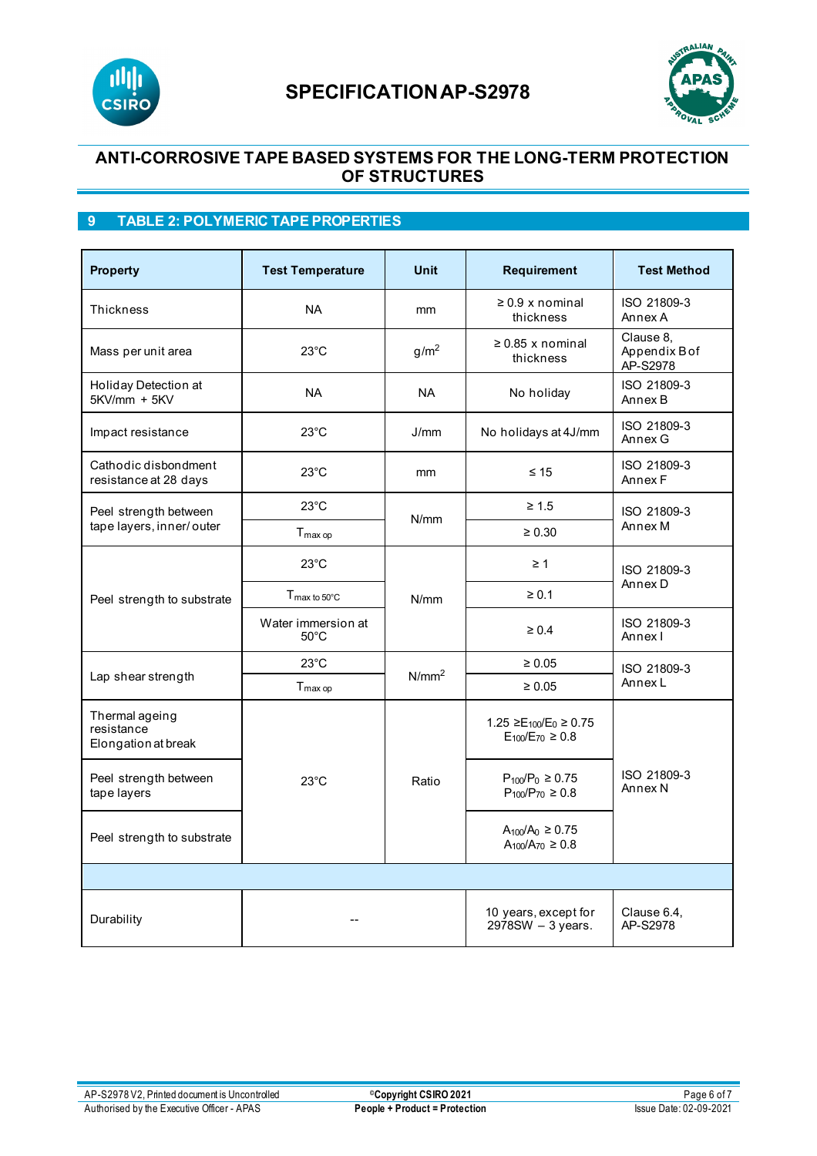



## **ANTI-CORROSIVE TAPE BASED SYSTEMS FOR THE LONG-TERM PROTECTION OF STRUCTURES**

## **9 TABLE 2: POLYMERIC TAPE PROPERTIES**

| <b>Property</b>                                     | <b>Test Temperature</b>              | <b>Unit</b>       | Requirement                                                   | <b>Test Method</b>                     |  |  |
|-----------------------------------------------------|--------------------------------------|-------------------|---------------------------------------------------------------|----------------------------------------|--|--|
| <b>Thickness</b>                                    | <b>NA</b>                            | mm                | $\geq 0.9$ x nominal<br>thickness                             | ISO 21809-3<br>Annex A                 |  |  |
| Mass per unit area                                  | $23^{\circ}$ C                       | g/m <sup>2</sup>  | $\geq$ 0.85 x nominal<br>thickness                            | Clause 8.<br>Appendix B of<br>AP-S2978 |  |  |
| Holiday Detection at<br>$5KV/mm + 5KV$              | <b>NA</b>                            | <b>NA</b>         | No holiday                                                    | ISO 21809-3<br>Annex B                 |  |  |
| Impact resistance                                   | $23^{\circ}$ C                       | J/mm              | No holidays at 4J/mm                                          | ISO 21809-3<br>Annex G                 |  |  |
| Cathodic disbondment<br>resistance at 28 days       | $23^{\circ}$ C                       | mm                | $\leq 15$                                                     | ISO 21809-3<br>Annex F                 |  |  |
| Peel strength between                               | $23^{\circ}$ C                       |                   | $\geq 1.5$                                                    | ISO 21809-3<br>Annex M                 |  |  |
| tape layers, inner/outer                            | $T_{max op}$                         | N/mm              | $\ge 0.30$                                                    |                                        |  |  |
| Peel strength to substrate                          | $23^{\circ}$ C                       |                   | $\geq 1$                                                      | ISO 21809-3<br>Annex D                 |  |  |
|                                                     | $T_{\text{max}}$ to 50 $^{\circ}$ C  | N/mm              | $\geq 0.1$                                                    |                                        |  |  |
|                                                     | Water immersion at<br>$50^{\circ}$ C |                   | $\geq 0.4$                                                    | ISO 21809-3<br>Annex I                 |  |  |
| Lap shear strength                                  | $23^{\circ}$ C                       |                   | $\geq 0.05$                                                   | ISO 21809-3<br>Annex L                 |  |  |
|                                                     | T <sub>max op</sub>                  | N/mm <sup>2</sup> | $\geq 0.05$                                                   |                                        |  |  |
| Thermal ageing<br>resistance<br>Elongation at break |                                      | Ratio             | $1.25 \geq E_{100}/E_0 \geq 0.75$<br>$E_{100}/E_{70} \ge 0.8$ | ISO 21809-3<br>Annex <sub>N</sub>      |  |  |
| Peel strength between<br>tape layers                | $23^{\circ}$ C                       |                   | $P_{100}/P_0 \ge 0.75$<br>$P_{100}/P_{70} \ge 0.8$            |                                        |  |  |
| Peel strength to substrate                          |                                      |                   | $A_{100}/A_0 \ge 0.75$<br>$A_{100}/A_{70} \ge 0.8$            |                                        |  |  |
|                                                     |                                      |                   |                                                               |                                        |  |  |
| Durability                                          |                                      |                   | 10 years, except for<br>$2978SW - 3 years$ .                  | Clause 6.4,<br>AP-S2978                |  |  |